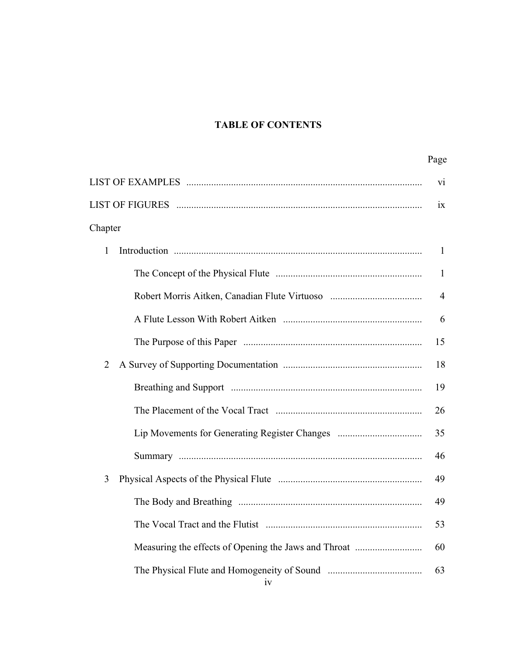## **TABLE OF CONTENTS**

|                | Page           |  |
|----------------|----------------|--|
| V <sub>1</sub> |                |  |
|                |                |  |
| Chapter        |                |  |
| $\mathbf{1}$   | $\mathbf{1}$   |  |
|                | 1              |  |
|                | $\overline{4}$ |  |
|                | 6              |  |
|                | 15             |  |
| $\overline{2}$ | 18             |  |
|                | 19             |  |
|                | 26             |  |
|                | 35             |  |
|                | 46             |  |
| 3              | 49             |  |
|                | 49             |  |
|                | 53             |  |
|                | 60             |  |
| 1V             | 63             |  |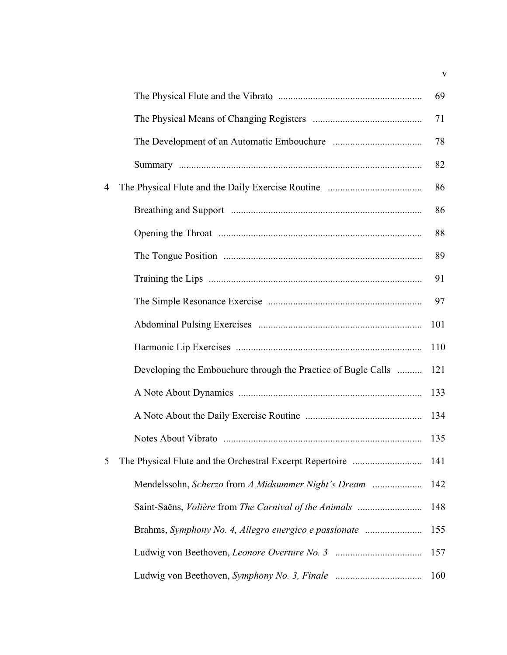|   |                                                               | 69  |
|---|---------------------------------------------------------------|-----|
|   |                                                               | 71  |
|   |                                                               | 78  |
|   |                                                               | 82  |
| 4 |                                                               | 86  |
|   |                                                               | 86  |
|   |                                                               | 88  |
|   |                                                               | 89  |
|   |                                                               | 91  |
|   |                                                               | 97  |
|   |                                                               | 101 |
|   |                                                               | 110 |
|   | Developing the Embouchure through the Practice of Bugle Calls | 121 |
|   |                                                               | 133 |
|   |                                                               | 134 |
|   |                                                               | 135 |
| 5 |                                                               | 141 |
|   |                                                               | 142 |
|   | Saint-Saëns, Volière from The Carnival of the Animals         | 148 |
|   | Brahms, Symphony No. 4, Allegro energico e passionate         | 155 |
|   |                                                               | 157 |
|   |                                                               | 160 |

v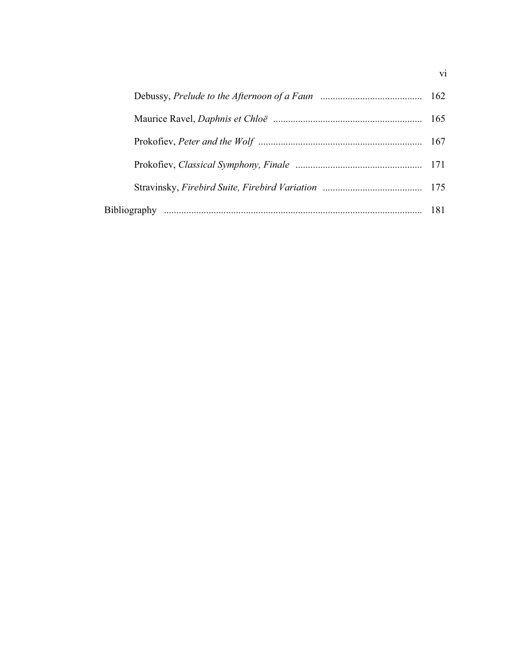vi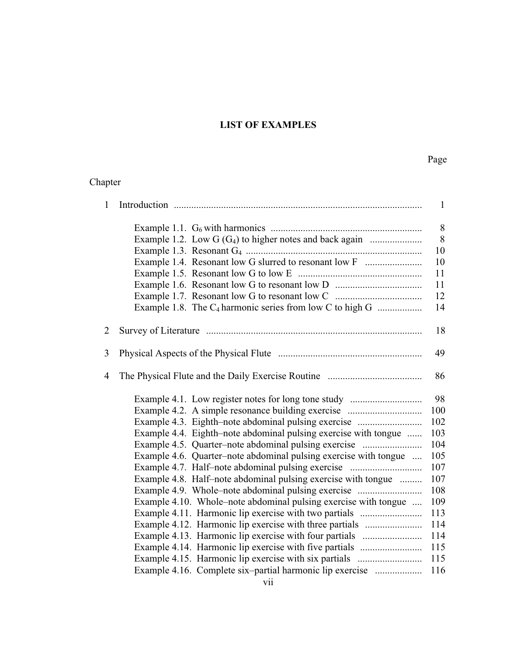## **LIST OF EXAMPLES**

### Page

### Chapter

| 1              |                                                                  | $\mathbf{1}$ |
|----------------|------------------------------------------------------------------|--------------|
|                |                                                                  | 8            |
|                |                                                                  | 8            |
|                |                                                                  | 10           |
|                | Example 1.4. Resonant low G slurred to resonant low F            | 10           |
|                |                                                                  | 11           |
|                |                                                                  | 11           |
|                |                                                                  | 12           |
|                | Example 1.8. The $C_4$ harmonic series from low C to high G      | 14           |
| $\overline{2}$ |                                                                  | 18           |
| 3              |                                                                  | 49           |
| $\overline{4}$ |                                                                  | 86           |
|                | Example 4.1. Low register notes for long tone study              | 98           |
|                |                                                                  | 100          |
|                | Example 4.3. Eighth–note abdominal pulsing exercise              | 102          |
|                | Example 4.4. Eighth–note abdominal pulsing exercise with tongue  | 103          |
|                | Example 4.5. Quarter-note abdominal pulsing exercise             | 104          |
|                | Example 4.6. Quarter-note abdominal pulsing exercise with tongue | 105          |
|                | Example 4.7. Half-note abdominal pulsing exercise                | 107          |
|                | Example 4.8. Half-note abdominal pulsing exercise with tongue    | 107          |
|                | Example 4.9. Whole–note abdominal pulsing exercise               | 108          |
|                | Example 4.10. Whole–note abdominal pulsing exercise with tongue  | 109          |
|                | Example 4.11. Harmonic lip exercise with two partials            | 113          |
|                | Example 4.12. Harmonic lip exercise with three partials          | 114          |
|                |                                                                  | 114          |
|                |                                                                  | 115          |
|                |                                                                  | 115          |
|                | Example 4.16. Complete six-partial harmonic lip exercise         | 116          |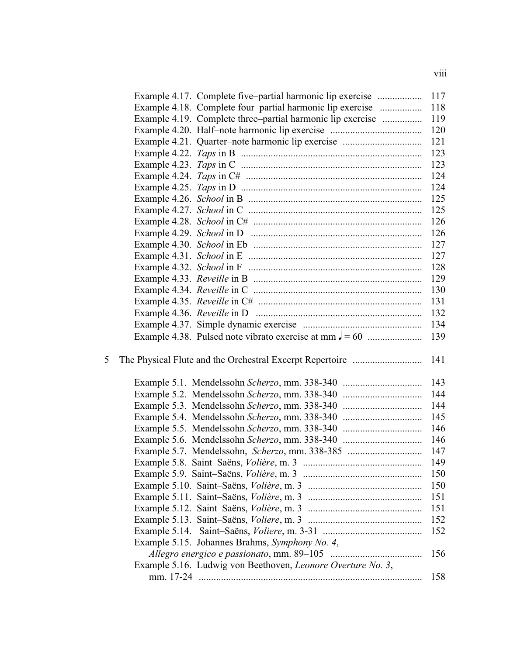| Example 4.17. Complete five-partial harmonic lip exercise   | 117 |
|-------------------------------------------------------------|-----|
| Example 4.18. Complete four-partial harmonic lip exercise   | 118 |
| Example 4.19. Complete three-partial harmonic lip exercise  | 119 |
|                                                             | 120 |
| Example 4.21. Quarter-note harmonic lip exercise            | 121 |
|                                                             | 123 |
|                                                             | 123 |
|                                                             | 124 |
|                                                             | 124 |
|                                                             | 125 |
|                                                             | 125 |
|                                                             | 126 |
|                                                             | 126 |
|                                                             | 127 |
|                                                             | 127 |
|                                                             | 128 |
|                                                             | 129 |
|                                                             | 130 |
|                                                             | 131 |
|                                                             | 132 |
|                                                             | 134 |
|                                                             | 139 |
|                                                             |     |
| 5                                                           | 141 |
|                                                             |     |
|                                                             | 143 |
| Example 5.2. Mendelssohn Scherzo, mm. 338-340               | 144 |
|                                                             | 144 |
|                                                             | 145 |
|                                                             | 146 |
| Example 5.6. Mendelssohn Scherzo, mm. 338-340               | 146 |
| Example 5.7. Mendelssohn, Scherzo, mm. 338-385              | 147 |
|                                                             | 149 |
|                                                             | 150 |
|                                                             | 150 |
|                                                             | 151 |
|                                                             | 151 |
|                                                             | 152 |
|                                                             | 152 |
| Example 5.15. Johannes Brahms, Symphony No. 4,              |     |
|                                                             | 156 |
| Example 5.16. Ludwig von Beethoven, Leonore Overture No. 3, |     |
|                                                             | 158 |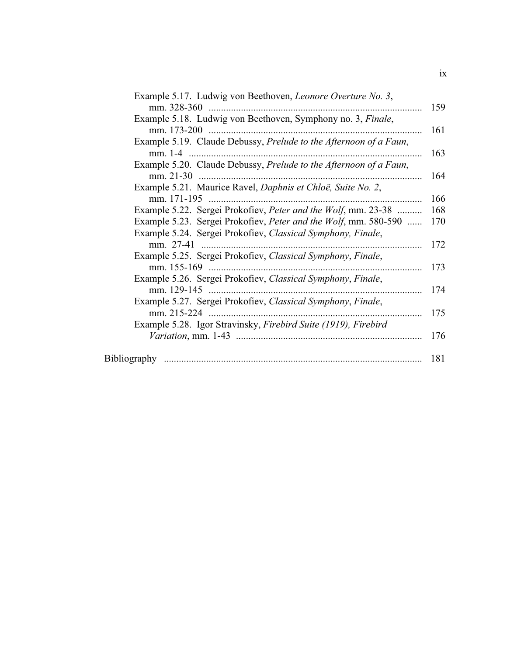| Example 5.17. Ludwig von Beethoven, Leonore Overture No. 3,                |
|----------------------------------------------------------------------------|
| Example 5.18. Ludwig von Beethoven, Symphony no. 3, Finale,                |
|                                                                            |
| Example 5.19. Claude Debussy, Prelude to the Afternoon of a Faun,          |
| Example 5.20. Claude Debussy, Prelude to the Afternoon of a Faun,          |
| Example 5.21. Maurice Ravel, Daphnis et Chloë, Suite No. 2,                |
|                                                                            |
| Example 5.22. Sergei Prokofiev, <i>Peter and the Wolf</i> , mm. 23-38      |
| Example 5.23. Sergei Prokofiev, Peter and the Wolf, mm. 580-590            |
| Example 5.24. Sergei Prokofiev, Classical Symphony, Finale,                |
|                                                                            |
| Example 5.25. Sergei Prokofiev, Classical Symphony, Finale,<br>mm. 155-169 |
| Example 5.26. Sergei Prokofiev, Classical Symphony, Finale,                |
|                                                                            |
| Example 5.27. Sergei Prokofiev, Classical Symphony, Finale,                |
| Example 5.28. Igor Stravinsky, Firebird Suite (1919), Firebird             |
|                                                                            |
|                                                                            |
|                                                                            |

ix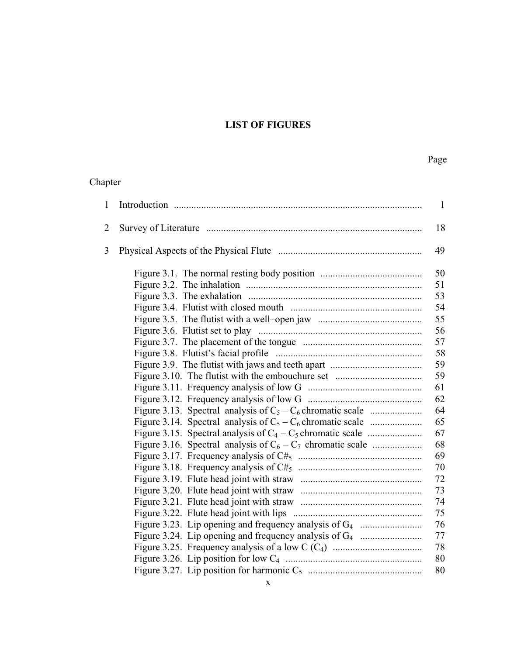# **LIST OF FIGURES**

# Page

### Chapter

| 1              |                                                               | $\mathbf{1}$ |
|----------------|---------------------------------------------------------------|--------------|
| $\overline{2}$ |                                                               | 18           |
| 3              |                                                               | 49           |
|                |                                                               | 50           |
|                |                                                               | 51           |
|                |                                                               | 53           |
|                |                                                               | 54           |
|                |                                                               | 55           |
|                |                                                               | 56           |
|                |                                                               | 57           |
|                |                                                               | 58           |
|                |                                                               | 59           |
|                |                                                               | 59           |
|                |                                                               | 61           |
|                |                                                               | 62           |
|                | Figure 3.13. Spectral analysis of $C_5 - C_6$ chromatic scale | 64           |
|                | Figure 3.14. Spectral analysis of $C_5 - C_6$ chromatic scale | 65           |
|                |                                                               | 67           |
|                |                                                               | 68           |
|                |                                                               | 69           |
|                |                                                               | 70           |
|                |                                                               | 72           |
|                |                                                               | 73           |
|                |                                                               | 74           |
|                |                                                               | 75           |
|                |                                                               | 76           |
|                |                                                               | 77           |
|                |                                                               | 78           |
|                |                                                               | 80           |
|                |                                                               | 80           |